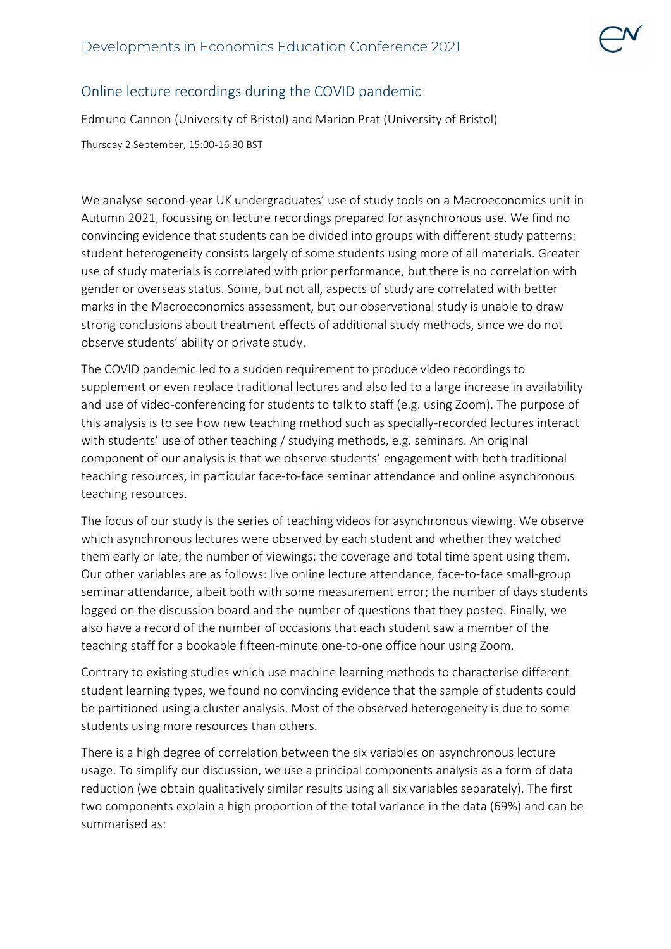## Online lecture recordings during the COVID pandemic

Edmund Cannon (University of Bristol) and Marion Prat (University of Bristol)

Thursday 2 September, 15:00-16:30 BST

We analyse second-year UK undergraduates' use of study tools on a Macroeconomics unit in Autumn 2021, focussing on lecture recordings prepared for asynchronous use. We find no convincing evidence that students can be divided into groups with different study patterns: student heterogeneity consists largely of some students using more of all materials. Greater use of study materials is correlated with prior performance, but there is no correlation with gender or overseas status. Some, but not all, aspects of study are correlated with better marks in the Macroeconomics assessment, but our observational study is unable to draw strong conclusions about treatment effects of additional study methods, since we do not observe students' ability or private study.

The COVID pandemic led to a sudden requirement to produce video recordings to supplement or even replace traditional lectures and also led to a large increase in availability and use of video-conferencing for students to talk to staff (e.g. using Zoom). The purpose of this analysis is to see how new teaching method such as specially-recorded lectures interact with students' use of other teaching / studying methods, e.g. seminars. An original component of our analysis is that we observe students' engagement with both traditional teaching resources, in particular face-to-face seminar attendance and online asynchronous teaching resources.

The focus of our study is the series of teaching videos for asynchronous viewing. We observe which asynchronous lectures were observed by each student and whether they watched them early or late; the number of viewings; the coverage and total time spent using them. Our other variables are as follows: live online lecture attendance, face-to-face small-group seminar attendance, albeit both with some measurement error; the number of days students logged on the discussion board and the number of questions that they posted. Finally, we also have a record of the number of occasions that each student saw a member of the teaching staff for a bookable fifteen-minute one-to-one office hour using Zoom.

Contrary to existing studies which use machine learning methods to characterise different student learning types, we found no convincing evidence that the sample of students could be partitioned using a cluster analysis. Most of the observed heterogeneity is due to some students using more resources than others.

There is a high degree of correlation between the six variables on asynchronous lecture usage. To simplify our discussion, we use a principal components analysis as a form of data reduction (we obtain qualitatively similar results using all six variables separately). The first two components explain a high proportion of the total variance in the data (69%) and can be summarised as: